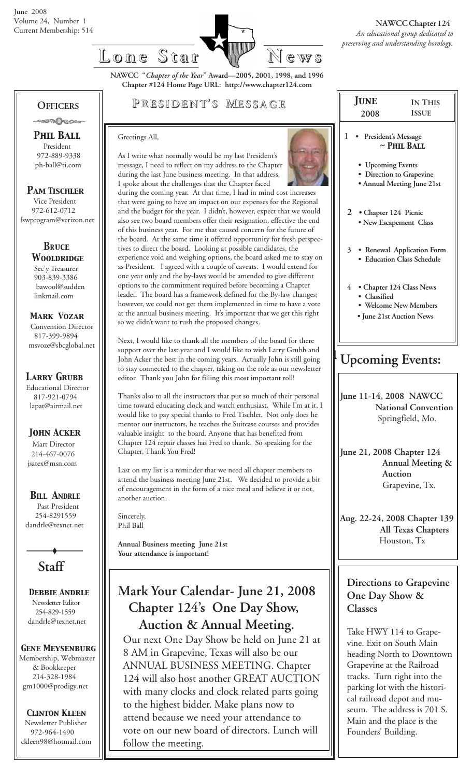

**NAWCC "***Chapter of the Year***" Award—2005, 2001, 1998, and 1996 Chapter #124 Home Page URL: http://www.chapter124.com**

#### **OFFICERS** -∞∞∆∧∞∞

 *Phil Ball* President 972-889-9338 ph-ball@ti.com

 *Pam Tischler* Vice President 972-612-0712 fswprogram@verizon.net

> *BRuce Wooldridge* Sec'y Treasurer 903-839-3386 bawool@sudden linkmail.com

 *Mark Vozar* Convention Director 817-399-9894 msvoze@sbcglobal.net

*Larry Grubb*

Educational Director 817-921-0794 lapat@airmail.net

*John Acker*

Mart Director 214-467-0076 jsatex@msn.com

*BILL ANDRLE*

 Past President 254-8291559 dandrle@texnet.net



 *Debbie Andrle* Newsletter Editor 254-829-1559 dandrle@texnet.net

#### *Gene Meysenburg*

Membership, Webmaster & Bookkeeper 214-328-1984 gm1000@prodigy.net

#### *Clinton Kleen*

 Newsletter Publisher 972-964-1490 ckleen98@hotmail.com

### **P RESIDENT RESIDENT' S M ESSAGE**

As I write what normally would be my last President's

#### Greetings All,



during the last June business meeting. In that address, I spoke about the challenges that the Chapter faced during the coming year. At that time, I had in mind cost increases that were going to have an impact on our expenses for the Regional and the budget for the year. I didn't, however, expect that we would also see two board members offer their resignation, effective the end of this business year. For me that caused concern for the future of the board. At the same time it offered opportunity for fresh perspectives to direct the board. Looking at possible candidates, the experience void and weighing options, the board asked me to stay on as President. I agreed with a couple of caveats. I would extend for one year only and the by-laws would be amended to give different options to the commitment required before becoming a Chapter leader. The board has a framework defined for the By-law changes; however, we could not get them implemented in time to have a vote at the annual business meeting. It's important that we get this right so we didn't want to rush the proposed changes.

Next, I would like to thank all the members of the board for there support over the last year and I would like to wish Larry Grubb and John Acker the best in the coming years. Actually John is still going to stay connected to the chapter, taking on the role as our newsletter editor. Thank you John for filling this most important roll!

Thanks also to all the instructors that put so much of their personal time toward educating clock and watch enthusiast. While I'm at it, I would like to pay special thanks to Fred Tischler. Not only does he mentor our instructors, he teaches the Suitcase courses and provides valuable insight to the board. Anyone that has benefited from Chapter 124 repair classes has Fred to thank. So speaking for the Chapter, Thank You Fred!

Last on my list is a reminder that we need all chapter members to attend the business meeting June 21st. We decided to provide a bit of encouragement in the form of a nice meal and believe it or not, another auction.

Sincerely, Phil Ball

> **Annual Business meeting June 21st Your attendance is important!**

## **Mark Your Calendar- June 21, 2008 Chapter 124's One Day Show, Auction & Annual Meeting.**

Our next One Day Show be held on June 21 at 8 AM in Grapevine, Texas will also be our ANNUAL BUSINESS MEETING. Chapter 124 will also host another GREAT AUCTION with many clocks and clock related parts going to the highest bidder. Make plans now to attend because we need your attendance to vote on our new board of directors. Lunch will follow the meeting.

| <b>JUNE</b>                                  | <b>IN THIS</b>                                                                |  |  |  |
|----------------------------------------------|-------------------------------------------------------------------------------|--|--|--|
| 2008                                         | <b>ISSUE</b>                                                                  |  |  |  |
| 1<br>President's Message<br>$\sim$ PHIL BALL |                                                                               |  |  |  |
| • Upcoming Events                            | · Direction to Grapevine<br>• Annual Meeting June 21st                        |  |  |  |
| $\overline{2}$<br>· Chapter 124 Picnic       | · New Escapement Class                                                        |  |  |  |
| 3                                            | · Renewal Application Form<br>· Education Class Schedule                      |  |  |  |
| $\overline{4}$<br>· Classified               | • Chapter 124 Class News<br>· Welcome New Members<br>· June 21st Auction News |  |  |  |
| <b>Upcoming Events:</b>                      |                                                                               |  |  |  |
| June 11-14, 2008 NAWCC                       | <b>National Convention</b><br>Springfield, Mo.                                |  |  |  |
| June 21, 2008 Chapter 124                    | Annual Meeting &                                                              |  |  |  |

 **Auction** Grapevine, Tx.

**Aug. 22-24, 2008 Chapter 139 All Texas Chapters** Houston, Tx

#### **Directions to Grapevine One Day Show & Classes**

Take HWY 114 to Grapevine. Exit on South Main heading North to Downtown Grapevine at the Railroad tracks. Turn right into the parking lot with the historical railroad depot and museum. The address is 701 S. Main and the place is the Founders' Building.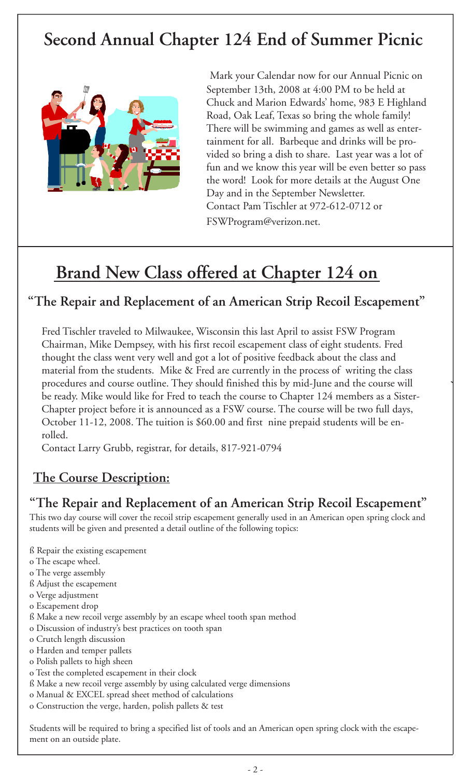# **Second Annual Chapter 124 End of Summer Picnic**



Mark your Calendar now for our Annual Picnic on September 13th, 2008 at 4:00 PM to be held at Chuck and Marion Edwards' home, 983 E Highland Road, Oak Leaf, Texas so bring the whole family! There will be swimming and games as well as entertainment for all. Barbeque and drinks will be provided so bring a dish to share. Last year was a lot of fun and we know this year will be even better so pass the word! Look for more details at the August One Day and in the September Newsletter. Contact Pam Tischler at 972-612-0712 or FSWProgram@verizon.net.

# **Brand New Class offered at Chapter 124 on**

### **"The Repair and Replacement of an American Strip Recoil Escapement"**

Fred Tischler traveled to Milwaukee, Wisconsin this last April to assist FSW Program Chairman, Mike Dempsey, with his first recoil escapement class of eight students. Fred thought the class went very well and got a lot of positive feedback about the class and material from the students. Mike & Fred are currently in the process of writing the class procedures and course outline. They should finished this by mid-June and the course will be ready. Mike would like for Fred to teach the course to Chapter 124 members as a Sister-Chapter project before it is announced as a FSW course. The course will be two full days, October 11-12, 2008. The tuition is \$60.00 and first nine prepaid students will be enrolled.

Contact Larry Grubb, registrar, for details, 817-921-0794

## **The Course Description:**

### **"The Repair and Replacement of an American Strip Recoil Escapement"**

This two day course will cover the recoil strip escapement generally used in an American open spring clock and students will be given and presented a detail outline of the following topics:

- ß Repair the existing escapement
- o The escape wheel.
- o The verge assembly
- ß Adjust the escapement
- o Verge adjustment
- o Escapement drop
- ß Make a new recoil verge assembly by an escape wheel tooth span method
- o Discussion of industry's best practices on tooth span
- o Crutch length discussion
- o Harden and temper pallets
- o Polish pallets to high sheen
- o Test the completed escapement in their clock
- ß Make a new recoil verge assembly by using calculated verge dimensions
- o Manual & EXCEL spread sheet method of calculations
- o Construction the verge, harden, polish pallets & test

Students will be required to bring a specified list of tools and an American open spring clock with the escapement on an outside plate.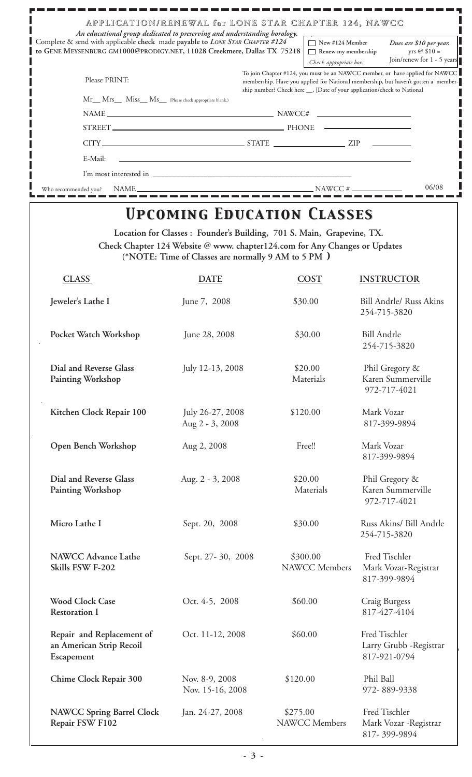| APPLICATION/RENEWAL for LONE STAR CHAPTER 124, NAWCC<br>An educational group dedicated to preserving and understanding horology.                        |                                                                                                                                                                                                                                                |                                                                               |
|---------------------------------------------------------------------------------------------------------------------------------------------------------|------------------------------------------------------------------------------------------------------------------------------------------------------------------------------------------------------------------------------------------------|-------------------------------------------------------------------------------|
| Complete & send with applicable check made payable to LONE STAR CHAPTER #124<br>to GENE MEYSENBURG GM1000@PRODIGY.NET, 11028 Creekmere, Dallas TX 75218 | New #124 Member<br>Renew my membership<br>Check appropriate box:                                                                                                                                                                               | Dues are \$10 per year.<br>yrs $\oslash$ \$10 =<br>Join/renew for 1 - 5 years |
| Please PRINT:                                                                                                                                           | To join Chapter #124, you must be an NAWCC member, or have applied for NAWCC<br>membership. Have you applied for National membership, but haven't gotten a member-<br>ship number? Check here ___, [Date of your application/check to National |                                                                               |
| Mr__ Mrs__ Miss__ Ms__ (Please check appropriate blank.)                                                                                                |                                                                                                                                                                                                                                                |                                                                               |
| $NAME \_\_\_\_\_\_\_$                                                                                                                                   |                                                                                                                                                                                                                                                |                                                                               |
|                                                                                                                                                         |                                                                                                                                                                                                                                                |                                                                               |
|                                                                                                                                                         |                                                                                                                                                                                                                                                |                                                                               |
| E-Mail:                                                                                                                                                 |                                                                                                                                                                                                                                                |                                                                               |
|                                                                                                                                                         |                                                                                                                                                                                                                                                |                                                                               |
| Who recommended you?                                                                                                                                    | $NAWCC \#$                                                                                                                                                                                                                                     | 06/08                                                                         |

## *Upcoming Education Classes Upcoming Education Classes*

**Location for Classes : Founder's Building, 701 S. Main, Grapevine, TX. Check Chapter 124 Website @ www. chapter124.com for Any Changes or Updates (\*NOTE: Time of Classes are normally 9 AM to 5 PM** *)*

| <b>CLASS</b>                                                        | <b>DATE</b>                         | <b>COST</b>                      | <b>INSTRUCTOR</b>                                        |
|---------------------------------------------------------------------|-------------------------------------|----------------------------------|----------------------------------------------------------|
| Jeweler's Lathe I                                                   | June 7, 2008                        | \$30.00                          | <b>Bill Andrle/ Russ Akins</b><br>254-715-3820           |
| Pocket Watch Workshop                                               | June 28, 2008                       | \$30.00                          | <b>Bill Andrle</b><br>254-715-3820                       |
| Dial and Reverse Glass<br>Painting Workshop                         | July 12-13, 2008                    | \$20.00<br>Materials             | Phil Gregory &<br>Karen Summerville<br>972-717-4021      |
| Kitchen Clock Repair 100                                            | July 26-27, 2008<br>Aug 2 - 3, 2008 | \$120.00                         | Mark Vozar<br>817-399-9894                               |
| Open Bench Workshop                                                 | Aug 2, 2008                         | Free!!                           | Mark Vozar<br>817-399-9894                               |
| Dial and Reverse Glass<br>Painting Workshop                         | Aug. 2 - 3, 2008                    | \$20.00<br>Materials             | Phil Gregory &<br>Karen Summerville<br>972-717-4021      |
| Micro Lathe I                                                       | Sept. 20, 2008                      | \$30.00                          | Russ Akins/ Bill Andrle<br>254-715-3820                  |
| <b>NAWCC Advance Lathe</b><br>Skills FSW F-202                      | Sept. 27-30, 2008                   | \$300.00<br>NAWCC Members        | Fred Tischler<br>Mark Vozar-Registrar<br>817-399-9894    |
| <b>Wood Clock Case</b><br><b>Restoration I</b>                      | Oct. 4-5, 2008                      | \$60.00                          | Craig Burgess<br>817-427-4104                            |
| Repair and Replacement of<br>an American Strip Recoil<br>Escapement | Oct. 11-12, 2008                    | \$60.00                          | Fred Tischler<br>Larry Grubb - Registrar<br>817-921-0794 |
| Chime Clock Repair 300                                              | Nov. 8-9, 2008<br>Nov. 15-16, 2008  | \$120.00                         | Phil Ball<br>972-889-9338                                |
| <b>NAWCC Spring Barrel Clock</b><br>Repair FSW F102                 | Jan. 24-27, 2008                    | \$275.00<br><b>NAWCC</b> Members | Fred Tischler<br>Mark Vozar - Registrar<br>817-399-9894  |